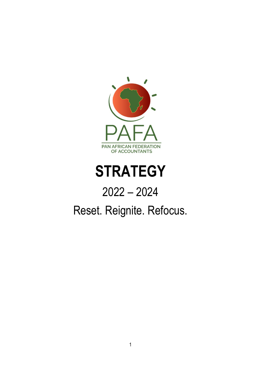

# **STRATEGY**

## 2022 – 2024

## Reset. Reignite. Refocus.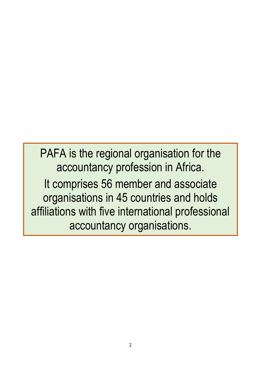PAFA is the regional organisation for the accountancy profession in Africa. It comprises 56 member and associate organisations in 45 countries and holds affiliations with five international professional accountancy organisations.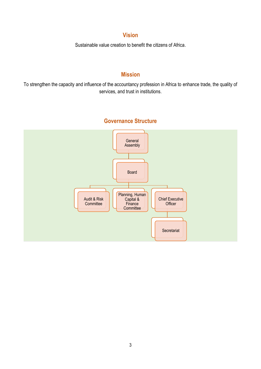#### **Vision**

Sustainable value creation to benefit the citizens of Africa.

## **Mission**

To strengthen the capacity and influence of the accountancy profession in Africa to enhance trade, the quality of services, and trust in institutions.

## **General** Assembly Board Audit & Risk **Committee** Planning, Human Capital & **Finance Committee** Chief Executive **Officer** Secretariat

## **Governance Structure**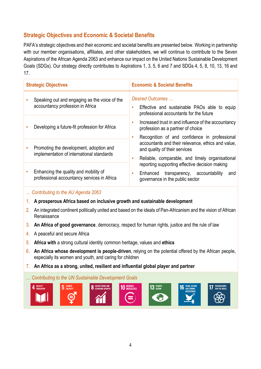## **Strategic Objectives and Economic & Societal Benefits**

PAFA's strategic objectives and their economic and societal benefits are presented below. Working in partnership with our member organisations, affiliates, and other stakeholders, we will continue to contribute to the Seven Aspirations of the African Agenda 2063 and enhance our impact on the United Nations Sustainable Development Goals (SDGs). Our strategy directly contributes to Aspirations 1, 3, 5, 6 and 7 and SDGs 4, 5, 8, 10, 13, 16 and 17.

| <b>Strategic Objectives</b> |                                                                                      | <b>Economic &amp; Societal Benefits</b>                                                                                                                                                      |  |
|-----------------------------|--------------------------------------------------------------------------------------|----------------------------------------------------------------------------------------------------------------------------------------------------------------------------------------------|--|
|                             | Speaking out and engaging as the voice of the<br>accountancy profession in Africa    | Desired Outcomes<br>Effective and sustainable PAOs able to equip<br>professional accountants for the future                                                                                  |  |
|                             | Developing a future-fit profession for Africa                                        | Increased trust in and influence of the accountancy<br>٠<br>profession as a partner of choice                                                                                                |  |
|                             | Promoting the development, adoption and<br>implementation of international standards | Recognition of and confidence in professional<br>٠<br>accountants and their relevance, ethics and value,<br>and quality of their services<br>Reliable, comparable, and timely organisational |  |
|                             | Enhancing the quality and mobility of<br>professional accountancy services in Africa | reporting supporting effective decision making<br>transparency, accountability<br>Enhanced<br>and<br>$\bullet$<br>governance in the public sector                                            |  |

#### *… Contributing to the AU Agenda 2063*

- 1. **A prosperous Africa based on inclusive growth and sustainable development**
- 2. An integrated continent politically united and based on the ideals of Pan-Africanism and the vision of African Renaissance
- 3. **An Africa of good governance**, democracy, respect for human rights, justice and the rule of law
- 4. A peaceful and secure Africa
- 5. **Africa with** a strong cultural identity common heritage, values and **ethics**
- 6. **An Africa whose development is people-driven**, relying on the potential offered by the African people, especially its women and youth, and caring for children
- 7. **An Africa as a strong, united, resilient and influential global player and partner**

#### *… Contributing to the UN Sustainable Development Goals*

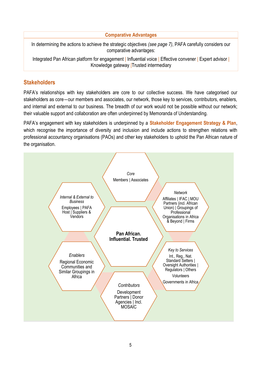**Comparative Advantages**

In determining the actions to achieve the strategic objectives *(see page 7)*, PAFA carefully considers our comparative advantages:

Integrated Pan African platform for engagement | Influential voice | Effective convener | Expert advisor | Knowledge gateway |Trusted intermediary

### **Stakeholders**

PAFA's relationships with key stakeholders are core to our collective success. We have categorised our stakeholders as core―our members and associates, our network, those key to services, contributors, enablers, and internal and external to our business. The breadth of our work would not be possible without our network; their valuable support and collaboration are often underpinned by Memoranda of Understanding.

PAFA's engagement with key stakeholders is underpinned by a **Stakeholder Engagement Strategy & Plan**, which recognise the importance of diversity and inclusion and include actions to strengthen relations with professional accountancy organisations (PAOs) and other key stakeholders to uphold the Pan African nature of the organisation.

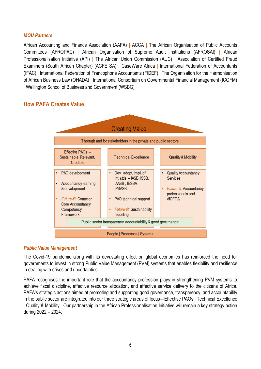#### *MOU Partners*

African Accounting and Finance Association (AAFA) | ACCA | The African Organisation of Public Accounts Committees (AFROPAC) | African Organisation of Supreme Audit Institutions (AFROSAI) | African Professionalisation Initiative (API) | The African Union Commission (AUC) | Association of Certified Fraud Examiners (South African Chapter) (ACFE SA) | CaseWare Africa | International Federation of Accountants (IFAC) | International Federation of Francophone Accountants (FIDEF) | The Organisation for the Harmonisation of African Business Law (OHADA) | International Consortium on Governmental Financial Management (ICGFM) | Wellington School of Business and Government (WSBG)

#### **How PAFA Creates Value**



#### *Public Value Management*

The Covid-19 pandemic along with its devastating effect on global economies has reinforced the need for governments to invest in strong Public Value Management (PVM) systems that enables flexibility and resilience in dealing with crises and uncertainties.

PAFA recognises the important role that the accountancy profession plays in strengthening PVM systems to achieve fiscal discipline, effective resource allocation, and effective service delivery to the citizens of Africa. PAFA's strategic actions aimed at promoting and supporting good governance, transparency, and accountability in the public sector are integrated into our three strategic areas of focus—Effective PAOs | Technical Excellence | Quality & Mobility. Our partnership in the African Professionalisation Initiative will remain a key strategy action during 2022 – 2024.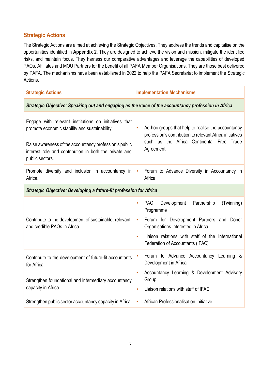#### **Strategic Actions**

The Strategic Actions are aimed at achieving the Strategic Objectives. They address the trends and capitalise on the opportunities identified in **Appendix 2**. They are designed to achieve the vision and mission, mitigate the identified risks, and maintain focus. They harness our comparative advantages and leverage the capabilities of developed PAOs, Affiliates and MOU Partners for the benefit of all PAFA Member Organisations. They are those best delivered by PAFA. The mechanisms have been established in 2022 to help the PAFA Secretariat to implement the Strategic Actions.

| <b>Strategic Actions</b>                                                                                                            | <b>Implementation Mechanisms</b>                                                                                                                                                                                                                                                      |  |
|-------------------------------------------------------------------------------------------------------------------------------------|---------------------------------------------------------------------------------------------------------------------------------------------------------------------------------------------------------------------------------------------------------------------------------------|--|
| Strategic Objective: Speaking out and engaging as the voice of the accountancy profession in Africa                                 |                                                                                                                                                                                                                                                                                       |  |
| Engage with relevant institutions on initiatives that<br>promote economic stability and sustainability.                             | Ad-hoc groups that help to realise the accountancy<br>$\bullet$<br>profession's contribution to relevant Africa initiatives                                                                                                                                                           |  |
| Raise awareness of the accountancy profession's public<br>interest role and contribution in both the private and<br>public sectors. | such as the Africa Continental Free Trade<br>Agreement                                                                                                                                                                                                                                |  |
| Promote diversity and inclusion in accountancy in<br>Africa.                                                                        | Forum to Advance Diversity in Accountancy in<br>$\bullet$<br>Africa                                                                                                                                                                                                                   |  |
| <b>Strategic Objective: Developing a future-fit profession for Africa</b>                                                           |                                                                                                                                                                                                                                                                                       |  |
| Contribute to the development of sustainable, relevant,<br>and credible PAOs in Africa.                                             | <b>PAO</b><br>Development<br>Partnership<br>(Twinning)<br>$\bullet$<br>Programme<br>Forum for Development Partners and Donor<br>$\bullet$<br>Organisations Interested in Africa<br>Liaison relations with staff of the International<br>$\bullet$<br>Federation of Accountants (IFAC) |  |
| Contribute to the development of future-fit accountants<br>for Africa.                                                              | Forum to Advance Accountancy Learning &<br>Development in Africa                                                                                                                                                                                                                      |  |
| Strengthen foundational and intermediary accountancy<br>capacity in Africa.                                                         | Accountancy Learning & Development Advisory<br>$\bullet$<br>Group<br>Liaison relations with staff of IFAC<br>$\bullet$                                                                                                                                                                |  |
| Strengthen public sector accountancy capacity in Africa.                                                                            | African Professionalisation Initiative<br>$\bullet$                                                                                                                                                                                                                                   |  |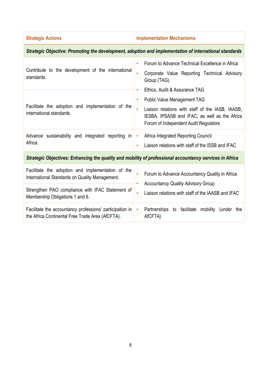| <b>Strategic Actions</b>                                                                                                                                                                   | <b>Implementation Mechanisms</b>                                                                                                                                                                                                                         |  |
|--------------------------------------------------------------------------------------------------------------------------------------------------------------------------------------------|----------------------------------------------------------------------------------------------------------------------------------------------------------------------------------------------------------------------------------------------------------|--|
| Strategic Objective: Promoting the development, adoption and implementation of international standards                                                                                     |                                                                                                                                                                                                                                                          |  |
| Contribute to the development of the international<br>standards.                                                                                                                           | Forum to Advance Technical Excellence in Africa<br>$\bullet$<br>Corporate Value Reporting Technical Advisory<br>$\bullet$<br>Group (TAG)                                                                                                                 |  |
| Facilitate the adoption and implementation of the<br>international standards.                                                                                                              | Ethics, Audit & Assurance TAG<br>$\bullet$<br><b>Public Value Management TAG</b><br>$\bullet$<br>Liaison relations with staff of the IASB, IAASB,<br>$\bullet$<br>IESBA, IPSASB and IFAC, as well as the Africa<br>Forum of Independent Audit Regulators |  |
| Advance sustainability and integrated reporting in<br>Africa.                                                                                                                              | Africa Integrated Reporting Council<br>$\bullet$<br>Liaison relations with staff of the ISSB and IFAC<br>$\bullet$                                                                                                                                       |  |
| Strategic Objectives: Enhancing the quality and mobility of professional accountancy services in Africa                                                                                    |                                                                                                                                                                                                                                                          |  |
| Facilitate the adoption and implementation of the<br>International Standards on Quality Management.<br>Strengthen PAO compliance with IFAC Statement of<br>Membership Obligations 1 and 6. | Forum to Advance Accountancy Quality in Africa<br>$\bullet$<br><b>Accountancy Quality Advisory Group</b><br>$\bullet$<br>Liaison relations with staff of the IAASB and IFAC<br>$\bullet$                                                                 |  |
| Facilitate the accountancy professions' participation in<br>the Africa Continental Free Trade Area (AfCFTA).                                                                               | Partnerships<br>to facilitate mobility (under the<br>$\bullet$<br>AfCFTA)                                                                                                                                                                                |  |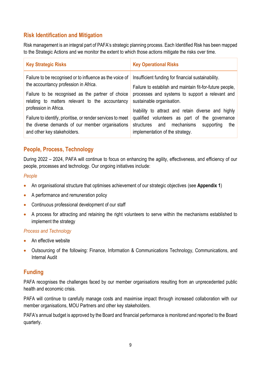### **Risk Identification and Mitigation**

Risk management is an integral part of PAFA's strategic planning process. Each Identified Risk has been mapped to the Strategic Actions and we monitor the extent to which those actions mitigate the risks over time.

| <b>Key Strategic Risks</b>                                                                                                                                                                                                         | <b>Key Operational Risks</b>                                                                                                                                                                                                                         |
|------------------------------------------------------------------------------------------------------------------------------------------------------------------------------------------------------------------------------------|------------------------------------------------------------------------------------------------------------------------------------------------------------------------------------------------------------------------------------------------------|
| Failure to be recognised or to influence as the voice of<br>the accountancy profession in Africa.<br>Failure to be recognised as the partner of choice<br>relating to matters relevant to the accountancy<br>profession in Africa. | Insufficient funding for financial sustainability.<br>Failure to establish and maintain fit-for-future people,<br>processes and systems to support a relevant and<br>sustainable organisation.<br>Inability to attract and retain diverse and highly |
| Failure to identify, prioritise, or render services to meet<br>the diverse demands of our member organisations<br>and other key stakeholders.                                                                                      | qualified volunteers as part of the governance<br>structures and mechanisms<br>the<br>supporting<br>implementation of the strategy.                                                                                                                  |

#### **People, Process, Technology**

During 2022 – 2024, PAFA will continue to focus on enhancing the agility, effectiveness, and efficiency of our people, processes and technology. Our ongoing initiatives include:

#### *People*

- An organisational structure that optimises achievement of our strategic objectives (see **Appendix 1**)
- A performance and remuneration policy
- Continuous professional development of our staff
- A process for attracting and retaining the right volunteers to serve within the mechanisms established to implement the strategy

#### *Process and Technology*

- An effective website
- Outsourcing of the following: Finance, Information & Communications Technology, Communications, and Internal Audit

#### **Funding**

PAFA recognises the challenges faced by our member organisations resulting from an unprecedented public health and economic crisis.

PAFA will continue to carefully manage costs and maximise impact through increased collaboration with our member organisations, MOU Partners and other key stakeholders.

PAFA's annual budget is approved by the Board and financial performance is monitored and reported to the Board quarterly.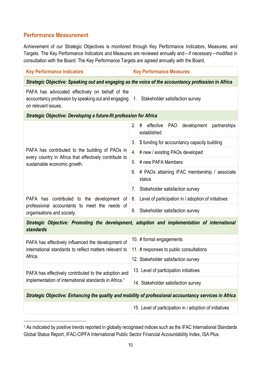#### **Performance Measurement**

Achievement of our Strategic Objectives is monitored through Key Performance Indicators, Measures, and Targets. The Key Performance Indicators and Measures are reviewed annually and―if necessary―modified in consultation with the Board. The Key Performance Targets are agreed annually with the Board.

| <b>Key Performance Indicators</b>                                                                                             | <b>Key Performance Measures</b>                                                              |  |
|-------------------------------------------------------------------------------------------------------------------------------|----------------------------------------------------------------------------------------------|--|
| Strategic Objective: Speaking out and engaging as the voice of the accountancy profession in Africa                           |                                                                                              |  |
| PAFA has advocated effectively on behalf of the<br>accountancy profession by speaking out and engaging<br>on relevant issues. | Stakeholder satisfaction survey<br>1.                                                        |  |
| <b>Strategic Objective: Developing a future-fit profession for Africa</b>                                                     |                                                                                              |  |
|                                                                                                                               | development<br>2.<br>effective<br><b>PAO</b><br>partnerships<br>#<br>established             |  |
|                                                                                                                               | \$ funding for accountancy capacity building<br>3.                                           |  |
| PAFA has contributed to the building of PAOs in                                                                               | # new / existing PAOs developed<br>4.                                                        |  |
| every country in Africa that effectively contribute to<br>sustainable economic growth.                                        | 5.<br># new PAFA Members                                                                     |  |
|                                                                                                                               | # PAOs attaining IFAC membership / associate<br>6.<br>status                                 |  |
|                                                                                                                               | Stakeholder satisfaction survey<br>7.                                                        |  |
| PAFA has contributed to the development of                                                                                    | Level of participation in / adoption of initiatives<br>8.                                    |  |
| professional accountants to meet the needs of<br>organisations and society.                                                   | Stakeholder satisfaction survey<br>9.                                                        |  |
| standards                                                                                                                     | Strategic Objective: Promoting the development, adoption and implementation of international |  |
| PAFA has effectively influenced the development of                                                                            | 10. # formal engagements                                                                     |  |
| international standards to reflect matters relevant to<br>Africa.                                                             | 11. # responses to public consultations                                                      |  |
|                                                                                                                               | 12. Stakeholder satisfaction survey                                                          |  |
| PAFA has effectively contributed to the adoption and                                                                          | 13. Level of participation initiatives                                                       |  |
| implementation of international standards in Africa. <sup>1</sup>                                                             | 14. Stakeholder satisfaction survey                                                          |  |
| Strategic Objective: Enhancing the quality and mobility of professional accountancy services in Africa                        |                                                                                              |  |
|                                                                                                                               | 15. Level of participation in / adoption of initiatives                                      |  |

<sup>1</sup> As indicated by positive trends reported in globally recognised indices such as the IFAC International Standards Global Status Report, IFAC-CIPFA International Public Sector Financial Accountability Index, ISA Plus.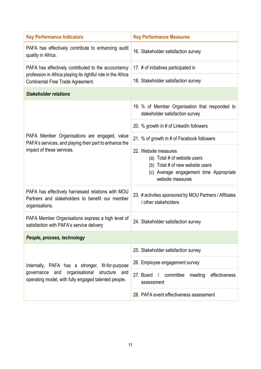| <b>Key Performance Indicators</b>                                                                                      | <b>Key Performance Measures</b>                                                                                                                         |  |
|------------------------------------------------------------------------------------------------------------------------|---------------------------------------------------------------------------------------------------------------------------------------------------------|--|
| PAFA has effectively contribute to enhancing audit<br>quality in Africa.                                               | 16. Stakeholder satisfaction survey                                                                                                                     |  |
| PAFA has effectively contributed to the accountancy                                                                    | 17. # of initiatives participated in                                                                                                                    |  |
| profession in Africa playing its rightful role in the Africa<br>Continental Free Trade Agreement.                      | 18. Stakeholder satisfaction survey                                                                                                                     |  |
| <b>Stakeholder relations</b>                                                                                           |                                                                                                                                                         |  |
|                                                                                                                        | 19. % of Member Organisation that responded to<br>stakeholder satisfaction survey                                                                       |  |
|                                                                                                                        | 20. % growth in # of LinkedIn followers                                                                                                                 |  |
| PAFA Member Organisations are engaged, value<br>PAFA's services, and playing their part to enhance the                 | 21. % of growth in # of Facebook followers                                                                                                              |  |
| impact of these services.                                                                                              | 22. Website measures<br>(a) Total # of website users<br>(b) Total # of new website users<br>(c) Average engagement time Appropriate<br>website measures |  |
| PAFA has effectively harnessed relations with MOU<br>Partners and stakeholders to benefit our member<br>organisations. | 23. # activities sponsored by MOU Partners / Affiliates<br>/ other stakeholders                                                                         |  |
| PAFA Member Organisations express a high level of<br>satisfaction with PAFA's service delivery                         | 24. Stakeholder satisfaction survey                                                                                                                     |  |
| People, process, technology                                                                                            |                                                                                                                                                         |  |
|                                                                                                                        | 25. Stakeholder satisfaction survey                                                                                                                     |  |
| Internally, PAFA has a stronger, fit-for-purpose                                                                       | 26. Employee engagement survey                                                                                                                          |  |
| organisational<br>structure<br>governance<br>and<br>and<br>operating model, with fully engaged talented people.        | 27. Board / committee<br>meeting<br>effectiveness<br>assessment                                                                                         |  |
|                                                                                                                        | 28. PAFA event effectiveness assessment                                                                                                                 |  |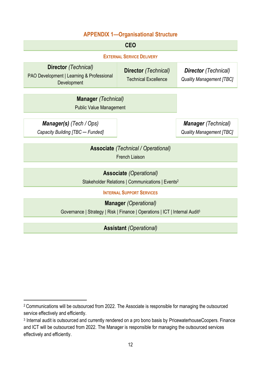### **APPENDIX 1—Organisational Structure**

| <b>CEO</b>                                                                                                              |                                                            |                                                                |
|-------------------------------------------------------------------------------------------------------------------------|------------------------------------------------------------|----------------------------------------------------------------|
| <b>EXTERNAL SERVICE DELIVERY</b>                                                                                        |                                                            |                                                                |
| <b>Director</b> (Technical)<br>PAO Development   Learning & Professional<br>Development                                 | <b>Director</b> (Technical)<br><b>Technical Excellence</b> | <b>Director</b> (Technical)<br><b>Quality Management [TBC]</b> |
| <b>Manager</b> (Technical)<br><b>Public Value Management</b>                                                            |                                                            |                                                                |
| <b>Manager(s)</b> (Tech / Ops)<br>Capacity Building [TBC - Funded]                                                      |                                                            | <b>Manager</b> (Technical)<br><b>Quality Management [TBC]</b>  |
| <b>Associate</b> (Technical / Operational)<br><b>French Liaison</b>                                                     |                                                            |                                                                |
| <b>Associate</b> (Operational)<br>Stakeholder Relations   Communications   Events <sup>2</sup>                          |                                                            |                                                                |
| <b>INTERNAL SUPPORT SERVICES</b>                                                                                        |                                                            |                                                                |
| <b>Manager</b> (Operational)<br>Governance   Strategy   Risk   Finance   Operations   ICT   Internal Audit <sup>3</sup> |                                                            |                                                                |

**Assistant** *(Operational)*

<sup>2</sup> Communications will be outsourced from 2022. The Associate is responsible for managing the outsourced service effectively and efficiently.

<sup>3</sup> Internal audit is outsourced and currently rendered on a pro bono basis by PricewaterhouseCoopers. Finance and ICT will be outsourced from 2022. The Manager is responsible for managing the outsourced services effectively and efficiently.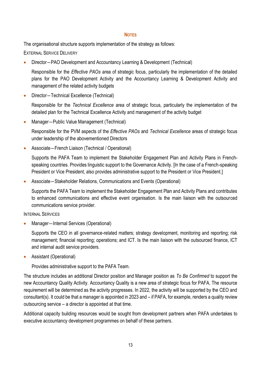#### **NOTES**

The organisational structure supports implementation of the strategy as follows:

EXTERNAL SERVICE DELIVERY

• Director―PAO Development and Accountancy Learning & Development (Technical)

Responsible for the *Effective PAOs* area of strategic focus, particularly the implementation of the detailed plans for the PAO Development Activity and the Accountancy Learning & Development Activity and management of the related activity budgets

• Director―Technical Excellence (Technical)

Responsible for the *Technical Excellence* area of strategic focus, particularly the implementation of the detailed plan for the Technical Excellence Activity and management of the activity budget

• Manager―Public Value Management (Technical)

Responsible for the PVM aspects of the *Effective PAOs* and *Technical Excellence* areas of strategic focus under leadership of the abovementioned Directors

• Associate―French Liaison (Technical / Operational)

Supports the PAFA Team to implement the Stakeholder Engagement Plan and Activity Plans in Frenchspeaking countries. Provides linguistic support to the Governance Activity. [In the case of a French-speaking President or Vice President, also provides administrative support to the President or Vice President.]

• Associate–Stakeholder Relations, Communications and Events (Operational)

Supports the PAFA Team to implement the Stakeholder Engagement Plan and Activity Plans and contributes to enhanced communications and effective event organisation. Is the main liaison with the outsourced communications service provider.

### INTERNAL SERVICES

• Manager―Internal Services (Operational)

Supports the CEO in all governance-related matters; strategy development, monitoring and reporting; risk management; financial reporting; operations; and ICT. Is the main liaison with the outsourced finance, ICT and internal audit service providers.

• Assistant (Operational)

Provides administrative support to the PAFA Team.

The structure includes an additional Director position and Manager position as *To Be Confirmed* to support the new Accountancy Quality Activity. Accountancy Quality is a new area of strategic focus for PAFA. The resource requirement will be determined as the activity progresses. In 2022, the activity will be supported by the CEO and consultant(s). It could be that a manager is appointed in 2023 and – if PAFA, for example, renders a quality review outsourcing service – a director is appointed at that time.

Additional capacity building resources would be sought from development partners when PAFA undertakes to executive accountancy development programmes on behalf of these partners.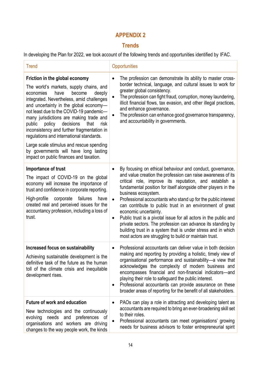## **APPENDIX 2**

## **Trends**

In developing the Plan for 2022, we took account of the following trends and opportunities identified by IFAC.

| <b>Trend</b>                                                                                                                                                                                                                                                                                                                                                                                                                                                                                                                                                               | Opportunities                                                                                                                                                                                                                                                                                                                                                                                                                                                                                                                                                                                                                                                                                                                   |
|----------------------------------------------------------------------------------------------------------------------------------------------------------------------------------------------------------------------------------------------------------------------------------------------------------------------------------------------------------------------------------------------------------------------------------------------------------------------------------------------------------------------------------------------------------------------------|---------------------------------------------------------------------------------------------------------------------------------------------------------------------------------------------------------------------------------------------------------------------------------------------------------------------------------------------------------------------------------------------------------------------------------------------------------------------------------------------------------------------------------------------------------------------------------------------------------------------------------------------------------------------------------------------------------------------------------|
| Friction in the global economy<br>The world's markets, supply chains, and<br>economies<br>become<br>deeply<br>have<br>integrated. Nevertheless, amid challenges<br>and uncertainty in the global economy-<br>not least due to the COVID-19 pandemic-<br>many jurisdictions are making trade and<br>public<br>policy<br>decisions<br>that<br>risk<br>inconsistency and further fragmentation in<br>regulations and international standards.<br>Large scale stimulus and rescue spending<br>by governments will have long lasting<br>impact on public finances and taxation. | The profession can demonstrate its ability to master cross-<br>border technical, language, and cultural issues to work for<br>greater global consistency.<br>The profession can fight fraud, corruption, money laundering,<br>$\bullet$<br>illicit financial flows, tax evasion, and other illegal practices,<br>and enhance governance.<br>The profession can enhance good governance transparency,<br>and accountability in governments.                                                                                                                                                                                                                                                                                      |
| Importance of trust<br>The impact of COVID-19 on the global<br>economy will increase the importance of<br>trust and confidence in corporate reporting.<br>failures<br>High-profile<br>corporate<br>have<br>created real and perceived issues for the<br>accountancy profession, including a loss of<br>trust.                                                                                                                                                                                                                                                              | By focusing on ethical behaviour and conduct, governance,<br>$\bullet$<br>and value creation the profession can raise awareness of its<br>critical role, improve its reputation, and establish a<br>fundamental position for itself alongside other players in the<br>business ecosystem.<br>Professional accountants who stand up for the public interest<br>$\bullet$<br>can contribute to public trust in an environment of great<br>economic uncertainty.<br>Public trust is a pivotal issue for all actors in the public and<br>٠<br>private sectors. The profession can advance its standing by<br>building trust in a system that is under stress and in which<br>most actors are struggling to build or maintain trust. |
| Increased focus on sustainability<br>Achieving sustainable development is the<br>definitive task of the future as the human<br>toll of the climate crisis and inequitable<br>development rises.                                                                                                                                                                                                                                                                                                                                                                            | Professional accountants can deliver value in both decision<br>making and reporting by providing a holistic, timely view of<br>organisational performance and sustainability-a view that<br>acknowledges the complexity of modern business and<br>encompasses financial and non-financial indicators-and<br>playing their role to safeguard the public interest.<br>Professional accountants can provide assurance on these<br>٠<br>broader areas of reporting for the benefit of all stakeholders.                                                                                                                                                                                                                             |
| <b>Future of work and education</b><br>New technologies and the continuously<br>evolving needs and<br>preferences of<br>organisations and workers are driving<br>changes to the way people work, the kinds                                                                                                                                                                                                                                                                                                                                                                 | PAOs can play a role in attracting and developing talent as<br>$\bullet$<br>accountants are required to bring an ever-broadening skill set<br>to their roles.<br>Professional accountants can meet organisations' growing<br>$\bullet$<br>needs for business advisors to foster entrepreneurial spirit                                                                                                                                                                                                                                                                                                                                                                                                                          |